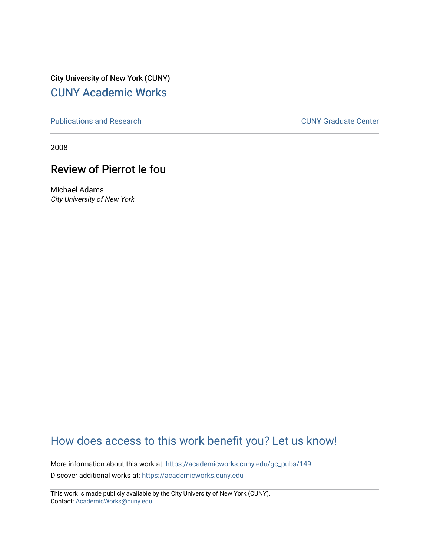City University of New York (CUNY) [CUNY Academic Works](https://academicworks.cuny.edu/) 

[Publications and Research](https://academicworks.cuny.edu/gc_pubs) [CUNY Graduate Center](https://academicworks.cuny.edu/gc) 

2008

## Review of Pierrot le fou

Michael Adams City University of New York

## [How does access to this work benefit you? Let us know!](http://ols.cuny.edu/academicworks/?ref=https://academicworks.cuny.edu/gc_pubs/149)

More information about this work at: [https://academicworks.cuny.edu/gc\\_pubs/149](https://academicworks.cuny.edu/gc_pubs/149) Discover additional works at: [https://academicworks.cuny.edu](https://academicworks.cuny.edu/?)

This work is made publicly available by the City University of New York (CUNY). Contact: [AcademicWorks@cuny.edu](mailto:AcademicWorks@cuny.edu)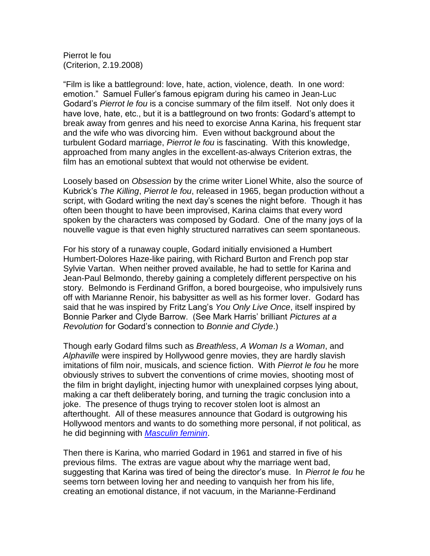Pierrot le fou (Criterion, 2.19.2008)

"Film is like a battleground: love, hate, action, violence, death. In one word: emotion." Samuel Fuller's famous epigram during his cameo in Jean-Luc Godard's *Pierrot le fou* is a concise summary of the film itself. Not only does it have love, hate, etc., but it is a battleground on two fronts: Godard's attempt to break away from genres and his need to exorcise Anna Karina, his frequent star and the wife who was divorcing him. Even without background about the turbulent Godard marriage, *Pierrot le fou* is fascinating. With this knowledge, approached from many angles in the excellent-as-always Criterion extras, the film has an emotional subtext that would not otherwise be evident.

Loosely based on *Obsession* by the crime writer Lionel White, also the source of Kubrick's *The Killing*, *Pierrot le fou*, released in 1965, began production without a script, with Godard writing the next day's scenes the night before. Though it has often been thought to have been improvised, Karina claims that every word spoken by the characters was composed by Godard. One of the many joys of la nouvelle vague is that even highly structured narratives can seem spontaneous.

For his story of a runaway couple, Godard initially envisioned a Humbert Humbert-Dolores Haze-like pairing, with Richard Burton and French pop star Sylvie Vartan. When neither proved available, he had to settle for Karina and Jean-Paul Belmondo, thereby gaining a completely different perspective on his story. Belmondo is Ferdinand Griffon, a bored bourgeoise, who impulsively runs off with Marianne Renoir, his babysitter as well as his former lover. Godard has said that he was inspired by Fritz Lang's *You Only Live Once*, itself inspired by Bonnie Parker and Clyde Barrow. (See Mark Harris' brilliant *Pictures at a Revolution* for Godard's connection to *Bonnie and Clyde*.)

Though early Godard films such as *Breathless*, *A Woman Is a Woman*, and *Alphaville* were inspired by Hollywood genre movies, they are hardly slavish imitations of film noir, musicals, and science fiction. With *Pierrot le fou* he more obviously strives to subvert the conventions of crime movies, shooting most of the film in bright daylight, injecting humor with unexplained corpses lying about, making a car theft deliberately boring, and turning the tragic conclusion into a joke. The presence of thugs trying to recover stolen loot is almost an afterthought. All of these measures announce that Godard is outgrowing his Hollywood mentors and wants to do something more personal, if not political, as he did beginning with *[Masculin feminin](http://www.media-party.com/discland/2005/09/masculin-feminin.html)*.

Then there is Karina, who married Godard in 1961 and starred in five of his previous films. The extras are vague about why the marriage went bad, suggesting that Karina was tired of being the director's muse. In *Pierrot le fou* he seems torn between loving her and needing to vanquish her from his life, creating an emotional distance, if not vacuum, in the Marianne-Ferdinand